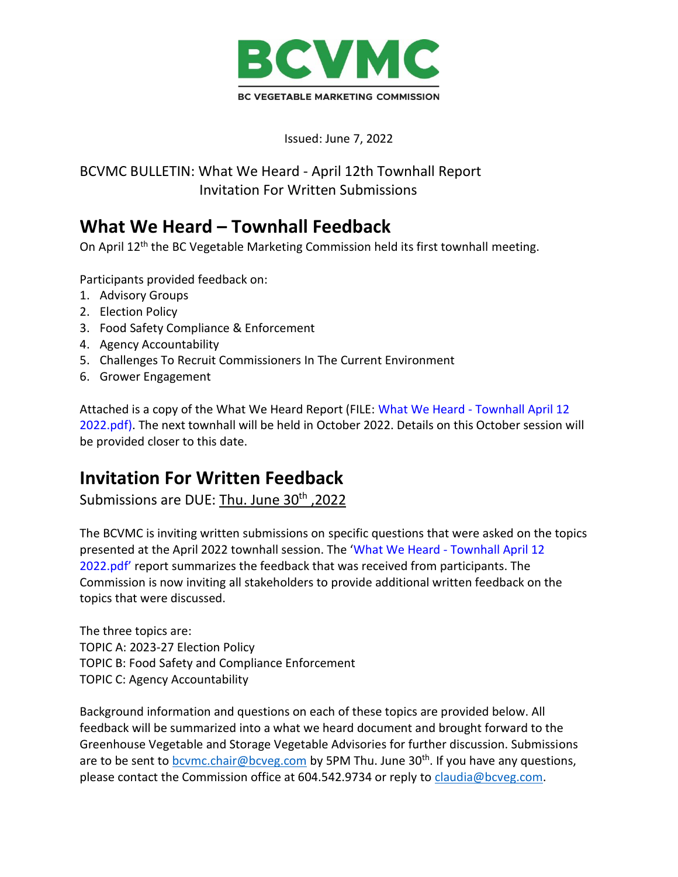

Issued: June 7, 2022

BCVMC BULLETIN: What We Heard - April 12th Townhall Report Invitation For Written Submissions

# **What We Heard – Townhall Feedback**

On April 12<sup>th</sup> the BC Vegetable Marketing Commission held its first townhall meeting.

Participants provided feedback on:

- 1. Advisory Groups
- 2. Election Policy
- 3. Food Safety Compliance & Enforcement
- 4. Agency Accountability
- 5. Challenges To Recruit Commissioners In The Current Environment
- 6. Grower Engagement

Attached is a copy of the What We Heard Report (FILE: What We Heard - Townhall April 12 2022.pdf). The next townhall will be held in October 2022. Details on this October session will be provided closer to this date.

## **Invitation For Written Feedback**

Submissions are DUE: Thu. June 30<sup>th</sup>, 2022

The BCVMC is inviting written submissions on specific questions that were asked on the topics presented at the April 2022 townhall session. The 'What We Heard - Townhall April 12 2022.pdf' report summarizes the feedback that was received from participants. The Commission is now inviting all stakeholders to provide additional written feedback on the topics that were discussed.

The three topics are: TOPIC A: 2023-27 Election Policy TOPIC B: Food Safety and Compliance Enforcement TOPIC C: Agency Accountability

Background information and questions on each of these topics are provided below. All feedback will be summarized into a what we heard document and brought forward to the Greenhouse Vegetable and Storage Vegetable Advisories for further discussion. Submissions are to be sent to **bcymc.chair@bcveg.com** by 5PM Thu. June 30<sup>th</sup>. If you have any questions, please contact the Commission office at 604.542.9734 or reply to [claudia@bcveg.com.](mailto:claudia@bcveg.com)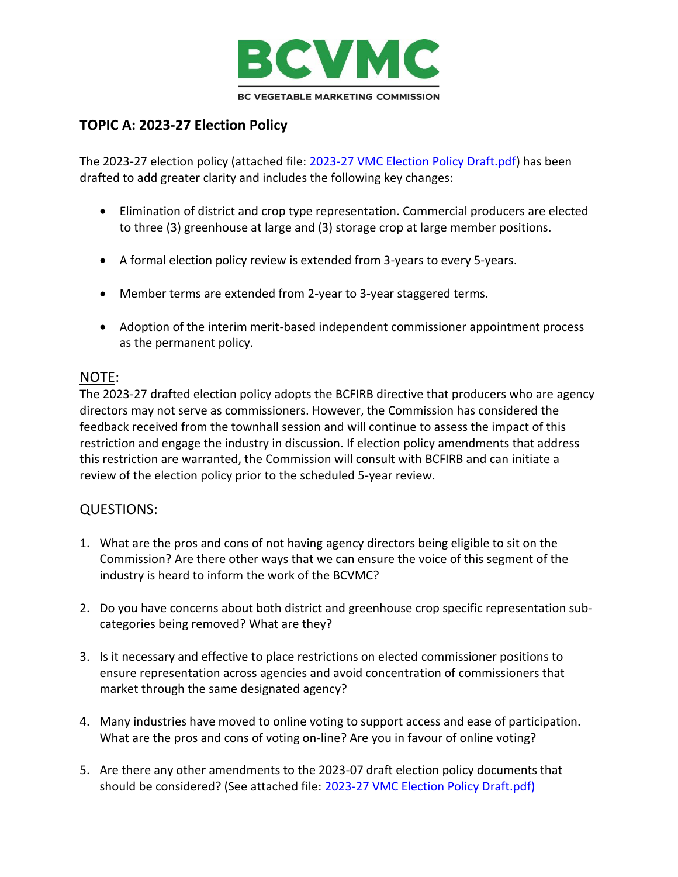

## **TOPIC A: 2023-27 Election Policy**

The 2023-27 election policy (attached file: 2023-27 VMC Election Policy Draft.pdf) has been drafted to add greater clarity and includes the following key changes:

- Elimination of district and crop type representation. Commercial producers are elected to three (3) greenhouse at large and (3) storage crop at large member positions.
- A formal election policy review is extended from 3-years to every 5-years.
- Member terms are extended from 2-year to 3-year staggered terms.
- Adoption of the interim merit-based independent commissioner appointment process as the permanent policy.

#### NOTE:

The 2023-27 drafted election policy adopts the BCFIRB directive that producers who are agency directors may not serve as commissioners. However, the Commission has considered the feedback received from the townhall session and will continue to assess the impact of this restriction and engage the industry in discussion. If election policy amendments that address this restriction are warranted, the Commission will consult with BCFIRB and can initiate a review of the election policy prior to the scheduled 5-year review.

#### QUESTIONS:

- 1. What are the pros and cons of not having agency directors being eligible to sit on the Commission? Are there other ways that we can ensure the voice of this segment of the industry is heard to inform the work of the BCVMC?
- 2. Do you have concerns about both district and greenhouse crop specific representation subcategories being removed? What are they?
- 3. Is it necessary and effective to place restrictions on elected commissioner positions to ensure representation across agencies and avoid concentration of commissioners that market through the same designated agency?
- 4. Many industries have moved to online voting to support access and ease of participation. What are the pros and cons of voting on-line? Are you in favour of online voting?
- 5. Are there any other amendments to the 2023-07 draft election policy documents that should be considered? (See attached file: 2023-27 VMC Election Policy Draft.pdf)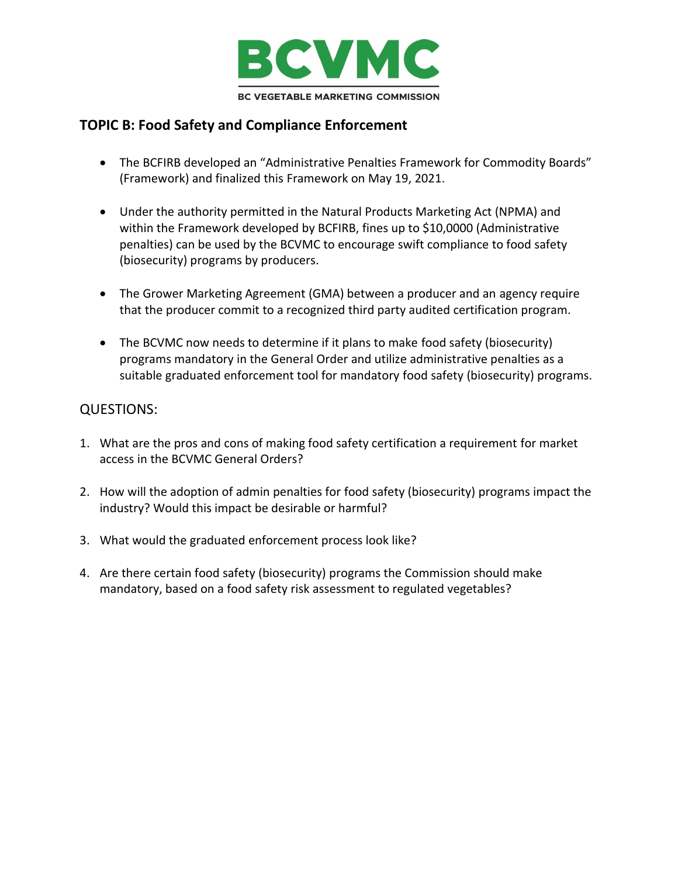

### **TOPIC B: Food Safety and Compliance Enforcement**

- The BCFIRB developed an "Administrative Penalties Framework for Commodity Boards" (Framework) and finalized this Framework on May 19, 2021.
- Under the authority permitted in the Natural Products Marketing Act (NPMA) and within the Framework developed by BCFIRB, fines up to \$10,0000 (Administrative penalties) can be used by the BCVMC to encourage swift compliance to food safety (biosecurity) programs by producers.
- The Grower Marketing Agreement (GMA) between a producer and an agency require that the producer commit to a recognized third party audited certification program.
- The BCVMC now needs to determine if it plans to make food safety (biosecurity) programs mandatory in the General Order and utilize administrative penalties as a suitable graduated enforcement tool for mandatory food safety (biosecurity) programs.

#### QUESTIONS:

- 1. What are the pros and cons of making food safety certification a requirement for market access in the BCVMC General Orders?
- 2. How will the adoption of admin penalties for food safety (biosecurity) programs impact the industry? Would this impact be desirable or harmful?
- 3. What would the graduated enforcement process look like?
- 4. Are there certain food safety (biosecurity) programs the Commission should make mandatory, based on a food safety risk assessment to regulated vegetables?